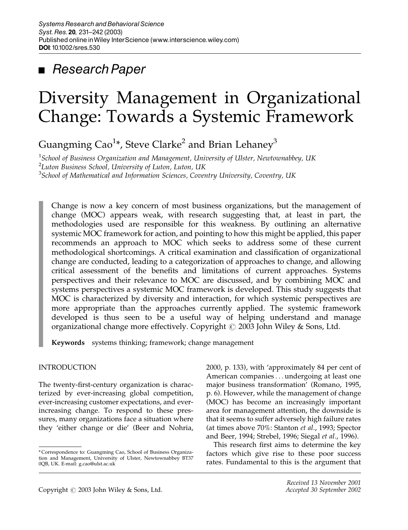## ■ Research Paper

# Diversity Management in Organizational Change: Towards a Systemic Framework

Guangming Cao $^{1\ast}$ , Steve Clarke $^{2}$  and Brian Lehaney $^{3}$ 

1 *School of Business Organization and Management, University of Ulster, Newtownabbey, UK* 2 *Luton Business School, University of Luton, Luton, UK* 3 *School of Mathematical and Information Sciences, Coventry University, Coventry, UK*

Change is now a key concern of most business organizations, but the management of change (MOC) appears weak, with research suggesting that, at least in part, the methodologies used are responsible for this weakness. By outlining an alternative systemic MOC framework for action, and pointing to how this might be applied, this paper recommends an approach to MOC which seeks to address some of these current methodological shortcomings. A critical examination and classification of organizational change are conducted, leading to a categorization of approaches to change, and allowing critical assessment of the benefits and limitations of current approaches. Systems perspectives and their relevance to MOC are discussed, and by combining MOC and systems perspectives a systemic MOC framework is developed. This study suggests that MOC is characterized by diversity and interaction, for which systemic perspectives are more appropriate than the approaches currently applied. The systemic framework developed is thus seen to be a useful way of helping understand and manage organizational change more effectively. Copyright  $\odot$  2003 John Wiley & Sons, Ltd.

Keywords systems thinking; framework; change management

#### INTRODUCTION

The twenty-first-century organization is characterized by ever-increasing global competition, ever-increasing customer expectations, and everincreasing change. To respond to these pressures, many organizations face a situation where they 'either change or die' (Beer and Nohria, 2000, p. 133), with 'approximately 84 per cent of American companies ... undergoing at least one major business transformation' (Romano, 1995, p. 6). However, while the management of change (MOC) has become an increasingly important area for management attention, the downside is that it seems to suffer adversely high failure rates (at times above 70%: Stanton *et al.*, 1993; Spector and Beer, 1994; Strebel, 1996; Siegal *et al.*, 1996).

This research first aims to determine the key factors which give rise to these poor success rates. Fundamental to this is the argument that

<sup>\*</sup> Correspondence to: Guangming Cao, School of Business Organiza-tion and Management, University of Ulster, Newtownabbey BT37 0QB, UK. E-mail: g.cao@ulst.ac.uk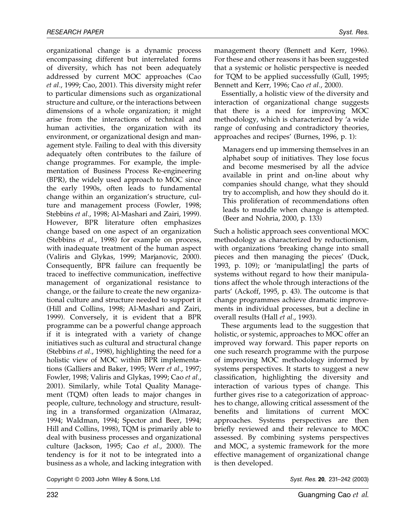organizational change is a dynamic process encompassing different but interrelated forms of diversity, which has not been adequately addressed by current MOC approaches (Cao *et al.*, 1999; Cao, 2001). This diversity might refer to particular dimensions such as organizational structure and culture, or the interactions between dimensions of a whole organization; it might arise from the interactions of technical and human activities, the organization with its environment, or organizational design and management style. Failing to deal with this diversity adequately often contributes to the failure of change programmes. For example, the implementation of Business Process Re-engineering (BPR), the widely used approach to MOC since the early 1990s, often leads to fundamental change within an organization's structure, culture and management process (Fowler, 1998; Stebbins *et al.*, 1998; Al-Mashari and Zairi, 1999). However, BPR literature often emphasizes change based on one aspect of an organization (Stebbins *et al.*, 1998) for example on process, with inadequate treatment of the human aspect (Valiris and Glykas, 1999; Marjanovic, 2000). Consequently, BPR failure can frequently be traced to ineffective communication, ineffective management of organizational resistance to change, or the failure to create the new organizational culture and structure needed to support it (Hill and Collins, 1998; Al-Mashari and Zairi, 1999). Conversely, it is evident that a BPR programme can be a powerful change approach if it is integrated with a variety of change initiatives such as cultural and structural change (Stebbins *et al.*, 1998), highlighting the need for a holistic view of MOC within BPR implementations (Galliers and Baker, 1995; Werr *et al.*, 1997; Fowler, 1998; Valiris and Glykas, 1999; Cao *et al.*, 2001). Similarly, while Total Quality Management (TQM) often leads to major changes in people, culture, technology and structure, resulting in a transformed organization (Almaraz, 1994; Waldman, 1994; Spector and Beer, 1994; Hill and Collins, 1998), TQM is primarily able to deal with business processes and organizational culture (Jackson, 1995; Cao *et al.*, 2000). The tendency is for it not to be integrated into a business as a whole, and lacking integration with

management theory (Bennett and Kerr, 1996). For these and other reasons it has been suggested that a systemic or holistic perspective is needed for TQM to be applied successfully (Gull, 1995; Bennett and Kerr, 1996; Cao *et al.*, 2000).

Essentially, a holistic view of the diversity and interaction of organizational change suggests that there is a need for improving MOC methodology, which is characterized by 'a wide range of confusing and contradictory theories, approaches and recipes' (Burnes, 1996, p. 1):

Managers end up immersing themselves in an alphabet soup of initiatives. They lose focus and become mesmerised by all the advice available in print and on-line about why companies should change, what they should try to accomplish, and how they should do it. This proliferation of recommendations often leads to muddle when change is attempted. (Beer and Nohria, 2000, p. 133)

Such a holistic approach sees conventional MOC methodology as characterized by reductionism, with organizations 'breaking change into small pieces and then managing the pieces' (Duck, 1993, p. 109); or 'manipulat[ing] the parts of systems without regard to how their manipulations affect the whole through interactions of the parts' (Ackoff, 1995, p. 43). The outcome is that change programmes achieve dramatic improvements in individual processes, but a decline in overall results (Hall *et al.*, 1993).

These arguments lead to the suggestion that holistic, or systemic, approaches to MOC offer an improved way forward. This paper reports on one such research programme with the purpose of improving MOC methodology informed by systems perspectives. It starts to suggest a new classification, highlighting the diversity and interaction of various types of change. This further gives rise to a categorization of approaches to change, allowing critical assessment of the benefits and limitations of current MOC approaches. Systems perspectives are then briefly reviewed and their relevance to MOC assessed. By combining systems perspectives and MOC, a systemic framework for the more effective management of organizational change is then developed.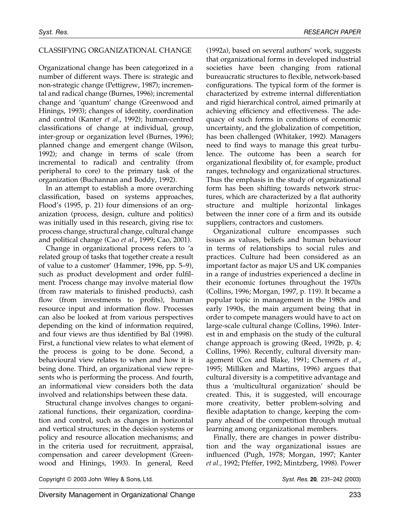#### CLASSIFYING ORGANIZATIONAL CHANGE

Organizational change has been categorized in a number of different ways. There is: strategic and non-strategic change (Pettigrew, 1987); incremental and radical change (Burnes, 1996); incremental change and 'quantum' change (Greenwood and Hinings, 1993); changes of identity, coordination and control (Kanter *et al.*, 1992); human-centred classifications of change at individual, group, inter-group or organization level (Burnes, 1996); planned change and emergent change (Wilson, 1992); and change in terms of scale (from incremental to radical) and centrality (from peripheral to core) to the primary task of the organization (Buchannan and Boddy, 1992).

In an attempt to establish a more overarching classification, based on systems approaches, Flood's (1995, p. 21) four dimensions of an organization (process, design, culture and politics) was initially used in this research, giving rise to: process change, structural change, cultural change and political change (Cao *et al.*, 1999; Cao, 2001).

Change in organizational process refers to 'a related group of tasks that together create a result of value to a customer' (Hammer, 1996, pp. 5–9), such as product development and order fulfilment. Process change may involve material flow (from raw materials to finished products), cash flow (from investments to profits), human resource input and information flow. Processes can also be looked at from various perspectives depending on the kind of information required, and four views are thus identified by Bal (1998). First, a functional view relates to what element of the process is going to be done. Second, a behavioural view relates to when and how it is being done. Third, an organizational view represents who is performing the process. And fourth, an informational view considers both the data involved and relationships between these data.

Structural change involves changes to organizational functions, their organization, coordination and control, such as changes in horizontal and vertical structures; in the decision systems or policy and resource allocation mechanisms; and in the criteria used for recruitment, appraisal, compensation and career development (Greenwood and Hinings, 1993). In general, Reed

(1992a), based on several authors' work, suggests that organizational forms in developed industrial societies have been changing from rational bureaucratic structures to flexible, network-based configurations. The typical form of the former is characterized by extreme internal differentiation and rigid hierarchical control, aimed primarily at achieving efficiency and effectiveness. The adequacy of such forms in conditions of economic uncertainty, and the globalization of competition, has been challenged (Whitaker, 1992). Managers need to find ways to manage this great turbulence. The outcome has been a search for organizational flexibility of, for example, product ranges, technology and organizational structures. Thus the emphasis in the study of organizational form has been shifting towards network structures, which are characterized by a flat authority structure and multiple horizontal linkages between the inner core of a firm and its outside suppliers, contractors and customers.

Organizational culture encompasses such issues as values, beliefs and human behaviour in terms of relationships to social rules and practices. Culture had been considered as an important factor as major US and UK companies in a range of industries experienced a decline in their economic fortunes throughout the 1970s (Collins, 1996; Morgan, 1997, p. 119). It became a popular topic in management in the 1980s and early 1990s, the main argument being that in order to compete managers would have to act on large-scale cultural change (Collins, 1996). Interest in and emphasis on the study of the cultural change approach is growing (Reed, 1992b, p. 4; Collins, 1996). Recently, cultural diversity management (Cox and Blake, 1991; Chemers *et al.*, 1995; Milliken and Martins, 1996) argues that cultural diversity is a competitive advantage and thus a 'multicultural organization' should be created. This, it is suggested, will encourage more creativity, better problem-solving and flexible adaptation to change, keeping the company ahead of the competition through mutual learning among organizational members.

Finally, there are changes in power distribution and the way organizational issues are influenced (Pugh, 1978; Morgan, 1997; Kanter *et al.*, 1992; Pfeffer, 1992; Mintzberg, 1998). Power

Copyright © 2003 John Wiley & Sons, Ltd. Syst. Res. 20, 231-242 (2003)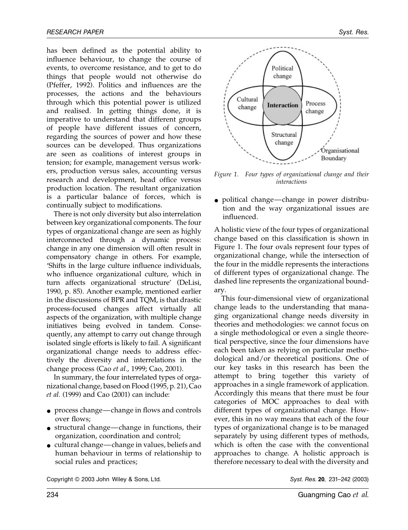has been defined as the potential ability to influence behaviour, to change the course of events, to overcome resistance, and to get to do things that people would not otherwise do (Pfeffer, 1992). Politics and influences are the processes, the actions and the behaviours through which this potential power is utilized and realised. In getting things done, it is imperative to understand that different groups of people have different issues of concern, regarding the sources of power and how these sources can be developed. Thus organizations are seen as coalitions of interest groups in tension; for example, management versus workers, production versus sales, accounting versus research and development, head office versus production location. The resultant organization is a particular balance of forces, which is continually subject to modifications.

There is not only diversity but also interrelation between key organizational components. The four types of organizational change are seen as highly interconnected through a dynamic process: change in any one dimension will often result in compensatory change in others. For example, 'Shifts in the large culture influence individuals, who influence organizational culture, which in turn affects organizational structure' (DeLisi, 1990, p. 85). Another example, mentioned earlier in the discussions of BPR and TQM, is that drastic process-focused changes affect virtually all aspects of the organization, with multiple change initiatives being evolved in tandem. Consequently, any attempt to carry out change through isolated single efforts is likely to fail. A significant organizational change needs to address effectively the diversity and interrelations in the change process (Cao *et al.*, 1999; Cao, 2001).

In summary, the four interrelated types of organizational change, based on Flood (1995, p. 21), Cao *et al.* (1999) and Cao (2001) can include:

- process change—change in flows and controls over flows;
- structural change—change in functions, their organization, coordination and control;
- cultural change—change in values, beliefs and human behaviour in terms of relationship to social rules and practices;



*Figure 1. Four types of organizational change and their interactions*

• political change—change in power distribution and the way organizational issues are influenced.

A holistic view of the four types of organizational change based on this classification is shown in Figure 1. The four ovals represent four types of organizational change, while the intersection of the four in the middle represents the interactions of different types of organizational change. The dashed line represents the organizational boundary.

This four-dimensional view of organizational change leads to the understanding that managing organizational change needs diversity in theories and methodologies: we cannot focus on a single methodological or even a single theoretical perspective, since the four dimensions have each been taken as relying on particular methodological and/or theoretical positions. One of our key tasks in this research has been the attempt to bring together this variety of approaches in a single framework of application. Accordingly this means that there must be four categories of MOC approaches to deal with different types of organizational change. However, this in no way means that each of the four types of organizational change is to be managed separately by using different types of methods, which is often the case with the conventional approaches to change. A holistic approach is therefore necessary to deal with the diversity and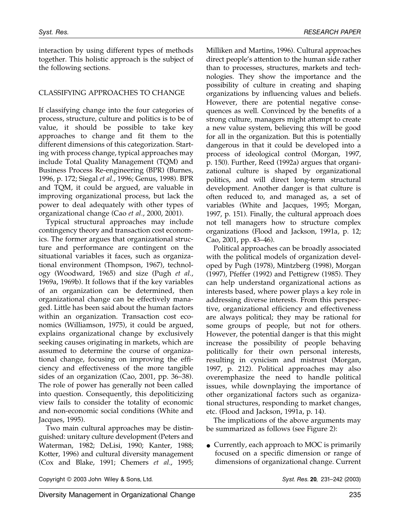interaction by using different types of methods together. This holistic approach is the subject of the following sections.

#### CLASSIFYING APPROACHES TO CHANGE

If classifying change into the four categories of process, structure, culture and politics is to be of value, it should be possible to take key approaches to change and fit them to the different dimensions of this categorization. Starting with process change, typical approaches may include Total Quality Management (TQM) and Business Process Re-engineering (BPR) (Burnes, 1996, p. 172; Siegal *et al.*, 1996; Genus, 1998). BPR and TQM, it could be argued, are valuable in improving organizational process, but lack the power to deal adequately with other types of organizational change (Cao *et al.*, 2000, 2001).

Typical structural approaches may include contingency theory and transaction cost economics. The former argues that organizational structure and performance are contingent on the situational variables it faces, such as organizational environment (Thompson, 1967), technology (Woodward, 1965) and size (Pugh *et al.*, 1969a, 1969b). It follows that if the key variables of an organization can be determined, then organizational change can be effectively managed. Little has been said about the human factors within an organization. Transaction cost economics (Williamson, 1975), it could be argued, explains organizational change by exclusively seeking causes originating in markets, which are assumed to determine the course of organizational change, focusing on improving the efficiency and effectiveness of the more tangible sides of an organization (Cao, 2001, pp. 36–38). The role of power has generally not been called into question. Consequently, this depoliticizing view fails to consider the totality of economic and non-economic social conditions (White and Jacques, 1995).

Two main cultural approaches may be distinguished: unitary culture development (Peters and Waterman, 1982; DeLisi, 1990; Kanter, 1988; Kotter, 1996) and cultural diversity management (Cox and Blake, 1991; Chemers *et al.*, 1995;

Milliken and Martins, 1996). Cultural approaches direct people's attention to the human side rather than to processes, structures, markets and technologies. They show the importance and the possibility of culture in creating and shaping organizations by influencing values and beliefs. However, there are potential negative consequences as well. Convinced by the benefits of a strong culture, managers might attempt to create a new value system, believing this will be good for all in the organization. But this is potentially dangerous in that it could be developed into a process of ideological control (Morgan, 1997, p. 150). Further, Reed (1992a) argues that organizational culture is shaped by organizational politics, and will direct long-term structural development. Another danger is that culture is often reduced to, and managed as, a set of variables (White and Jacques, 1995; Morgan, 1997, p. 151). Finally, the cultural approach does not tell managers how to structure complex organizations (Flood and Jackson, 1991a, p. 12; Cao, 2001, pp. 43–46).

Political approaches can be broadly associated with the political models of organization developed by Pugh (1978), Mintzberg (1998), Morgan (1997), Pfeffer (1992) and Pettigrew (1985). They can help understand organizational actions as interests based, where power plays a key role in addressing diverse interests. From this perspective, organizational efficiency and effectiveness are always political; they may be rational for some groups of people, but not for others. However, the potential danger is that this might increase the possibility of people behaving politically for their own personal interests, resulting in cynicism and mistrust (Morgan, 1997, p. 212). Political approaches may also overemphasize the need to handle political issues, while downplaying the importance of other organizational factors such as organizational structures, responding to market changes, etc. (Flood and Jackson, 1991a, p. 14).

The implications of the above arguments may be summarized as follows (see Figure 2):

• Currently, each approach to MOC is primarily focused on a specific dimension or range of dimensions of organizational change. Current

Copyright © 2003 John Wiley & Sons, Ltd. Syst. Res. 20, 231-242 (2003)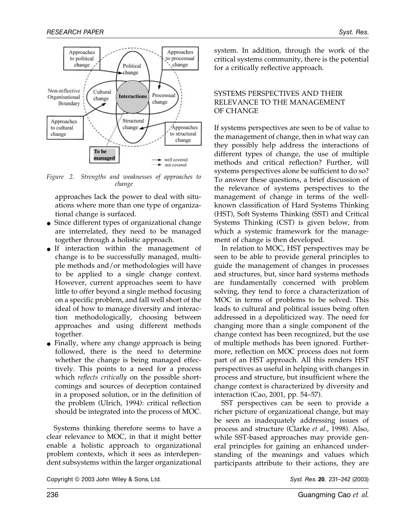

*Figure 2. Strengths and weaknesses of approaches to change*

approaches lack the power to deal with situations where more than one type of organizational change is surfaced.

- Since different types of organizational change are interrelated, they need to be managed together through a holistic approach.
- If interaction within the management of change is to be successfully managed, multiple methods and/or methodologies will have to be applied to a single change context. However, current approaches seem to have little to offer beyond a single method focusing on a specific problem, and fall well short of the ideal of how to manage diversity and interaction methodologically, choosing between approaches and using different methods together.
- Finally, where any change approach is being followed, there is the need to determine whether the change is being managed effectively. This points to a need for a process which *reflects critically* on the possible shortcomings and sources of deception contained in a proposed solution, or in the definition of the problem (Ulrich, 1994): critical reflection should be integrated into the process of MOC.

Systems thinking therefore seems to have a clear relevance to MOC, in that it might better enable a holistic approach to organizational problem contexts, which it sees as interdependent subsystems within the larger organizational system. In addition, through the work of the critical systems community, there is the potential for a critically reflective approach.

#### SYSTEMS PERSPECTIVES AND THEIR RELEVANCE TO THE MANAGEMENT OF CHANGE

If systems perspectives are seen to be of value to the management of change, then in what way can they possibly help address the interactions of different types of change, the use of multiple methods and critical reflection? Further, will systems perspectives alone be sufficient to do so? To answer these questions, a brief discussion of the relevance of systems perspectives to the management of change in terms of the wellknown classification of Hard Systems Thinking (HST), Soft Systems Thinking (SST) and Critical Systems Thinking (CST) is given below, from which a systemic framework for the management of change is then developed.

In relation to MOC, HST perspectives may be seen to be able to provide general principles to guide the management of changes in processes and structures, but, since hard systems methods are fundamentally concerned with problem solving, they tend to force a characterization of MOC in terms of problems to be solved. This leads to cultural and political issues being often addressed in a depoliticized way. The need for changing more than a single component of the change context has been recognized, but the use of multiple methods has been ignored. Furthermore, reflection on MOC process does not form part of an HST approach. All this renders HST perspectives as useful in helping with changes in process and structure, but insufficient where the change context is characterized by diversity and interaction (Cao, 2001, pp. 54–57).

SST perspectives can be seen to provide a richer picture of organizational change, but may be seen as inadequately addressing issues of process and structure (Clarke *et al.*, 1998). Also, while SST-based approaches may provide general principles for gaining an enhanced understanding of the meanings and values which participants attribute to their actions, they are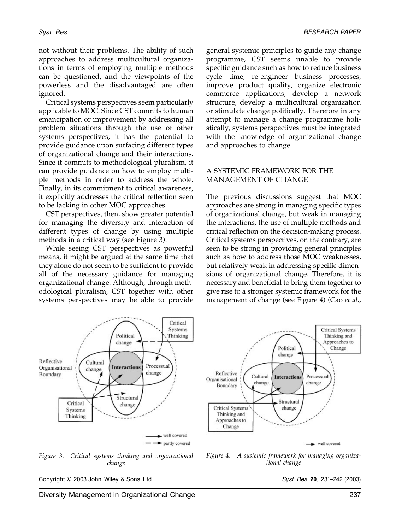not without their problems. The ability of such approaches to address multicultural organizations in terms of employing multiple methods can be questioned, and the viewpoints of the powerless and the disadvantaged are often ignored.

Critical systems perspectives seem particularly applicable to MOC. Since CST commits to human emancipation or improvement by addressing all problem situations through the use of other systems perspectives, it has the potential to provide guidance upon surfacing different types of organizational change and their interactions. Since it commits to methodological pluralism, it can provide guidance on how to employ multiple methods in order to address the whole. Finally, in its commitment to critical awareness, it explicitly addresses the critical reflection seen to be lacking in other MOC approaches.

CST perspectives, then, show greater potential for managing the diversity and interaction of different types of change by using multiple methods in a critical way (see Figure 3).

While seeing CST perspectives as powerful means, it might be argued at the same time that they alone do not seem to be sufficient to provide all of the necessary guidance for managing organizational change. Although, through methodological pluralism, CST together with other systems perspectives may be able to provide general systemic principles to guide any change programme, CST seems unable to provide specific guidance such as how to reduce business cycle time, re-engineer business processes, improve product quality, organize electronic commerce applications, develop a network structure, develop a multicultural organization or stimulate change politically. Therefore in any attempt to manage a change programme holistically, systems perspectives must be integrated with the knowledge of organizational change and approaches to change.

#### A SYSTEMIC FRAMEWORK FOR THE MANAGEMENT OF CHANGE

The previous discussions suggest that MOC approaches are strong in managing specific types of organizational change, but weak in managing the interactions, the use of multiple methods and critical reflection on the decision-making process. Critical systems perspectives, on the contrary, are seen to be strong in providing general principles such as how to address those MOC weaknesses, but relatively weak in addressing specific dimensions of organizational change. Therefore, it is necessary and beneficial to bring them together to give rise to a stronger systemic framework for the management of change (see Figure 4) (Cao *et al.*,





*Figure 3. Critical systems thinking and organizational change*

*Figure 4. A systemic framework for managing organizational change*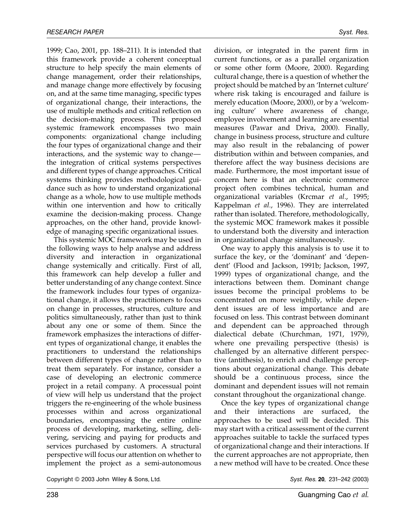1999; Cao, 2001, pp. 188–211). It is intended that this framework provide a coherent conceptual structure to help specify the main elements of change management, order their relationships, and manage change more effectively by focusing on, and at the same time managing, specific types of organizational change, their interactions, the use of multiple methods and critical reflection on the decision-making process. This proposed systemic framework encompasses two main components: organizational change including the four types of organizational change and their interactions, and the systemic way to change the integration of critical systems perspectives and different types of change approaches. Critical systems thinking provides methodological guidance such as how to understand organizational change as a whole, how to use multiple methods within one intervention and how to critically examine the decision-making process. Change approaches, on the other hand, provide knowledge of managing specific organizational issues.

This systemic MOC framework may be used in the following ways to help analyse and address diversity and interaction in organizational change systemically and critically. First of all, this framework can help develop a fuller and better understanding of any change context. Since the framework includes four types of organizational change, it allows the practitioners to focus on change in processes, structures, culture and politics simultaneously, rather than just to think about any one or some of them. Since the framework emphasizes the interactions of different types of organizational change, it enables the practitioners to understand the relationships between different types of change rather than to treat them separately. For instance, consider a case of developing an electronic commerce project in a retail company. A processual point of view will help us understand that the project triggers the re-engineering of the whole business processes within and across organizational boundaries, encompassing the entire online process of developing, marketing, selling, delivering, servicing and paying for products and services purchased by customers. A structural perspective will focus our attention on whether to implement the project as a semi-autonomous

division, or integrated in the parent firm in current functions, or as a parallel organization or some other form (Moore, 2000). Regarding cultural change, there is a question of whether the project should be matched by an 'Internet culture' where risk taking is encouraged and failure is merely education (Moore, 2000), or by a 'welcoming culture' where awareness of change, employee involvement and learning are essential measures (Pawar and Driva, 2000). Finally, change in business process, structure and culture may also result in the rebalancing of power distribution within and between companies, and therefore affect the way business decisions are made. Furthermore, the most important issue of concern here is that an electronic commerce project often combines technical, human and organizational variables (Krcmar *et al.*, 1995; Kappelman *et al.*, 1996). They are interrelated rather than isolated. Therefore, methodologically, the systemic MOC framework makes it possible to understand both the diversity and interaction in organizational change simultaneously.

One way to apply this analysis is to use it to surface the key, or the 'dominant' and 'dependent' (Flood and Jackson, 1991b; Jackson, 1997, 1999) types of organizational change, and the interactions between them. Dominant change issues become the principal problems to be concentrated on more weightily, while dependent issues are of less importance and are focused on less. This contrast between dominant and dependent can be approached through dialectical debate (Churchman, 1971, 1979), where one prevailing perspective (thesis) is challenged by an alternative different perspective (antithesis), to enrich and challenge perceptions about organizational change. This debate should be a continuous process, since the dominant and dependent issues will not remain constant throughout the organizational change.

Once the key types of organizational change and their interactions are surfaced, the approaches to be used will be decided. This may start with a critical assessment of the current approaches suitable to tackle the surfaced types of organizational change and their interactions. If the current approaches are not appropriate, then a new method will have to be created. Once these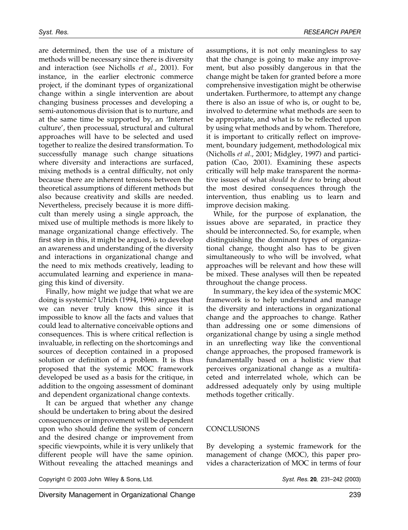are determined, then the use of a mixture of methods will be necessary since there is diversity and interaction (see Nicholls *et al.*, 2001). For instance, in the earlier electronic commerce project, if the dominant types of organizational change within a single intervention are about changing business processes and developing a semi-autonomous division that is to nurture, and at the same time be supported by, an 'Internet culture', then processual, structural and cultural approaches will have to be selected and used together to realize the desired transformation. To successfully manage such change situations where diversity and interactions are surfaced, mixing methods is a central difficulty, not only because there are inherent tensions between the theoretical assumptions of different methods but also because creativity and skills are needed. Nevertheless, precisely because it is more difficult than merely using a single approach, the mixed use of multiple methods is more likely to manage organizational change effectively. The first step in this, it might be argued, is to develop an awareness and understanding of the diversity and interactions in organizational change and the need to mix methods creatively, leading to accumulated learning and experience in managing this kind of diversity.

Finally, how might we judge that what we are doing is systemic? Ulrich (1994, 1996) argues that we can never truly know this since it is impossible to know all the facts and values that could lead to alternative conceivable options and consequences. This is where critical reflection is invaluable, in reflecting on the shortcomings and sources of deception contained in a proposed solution or definition of a problem. It is thus proposed that the systemic MOC framework developed be used as a basis for the critique, in addition to the ongoing assessment of dominant and dependent organizational change contexts.

It can be argued that whether any change should be undertaken to bring about the desired consequences or improvement will be dependent upon who should define the system of concern and the desired change or improvement from specific viewpoints, while it is very unlikely that different people will have the same opinion. Without revealing the attached meanings and

assumptions, it is not only meaningless to say that the change is going to make any improvement, but also possibly dangerous in that the change might be taken for granted before a more comprehensive investigation might be otherwise undertaken. Furthermore, to attempt any change there is also an issue of who is, or ought to be, involved to determine what methods are seen to be appropriate, and what is to be reflected upon by using what methods and by whom. Therefore, it is important to critically reflect on improvement, boundary judgement, methodological mix (Nicholls *et al.*, 2001; Midgley, 1997) and participation (Cao, 2001). Examining these aspects critically will help make transparent the normative issues of what *should be done* to bring about the most desired consequences through the intervention, thus enabling us to learn and improve decision making.

While, for the purpose of explanation, the issues above are separated, in practice they should be interconnected. So, for example, when distinguishing the dominant types of organizational change, thought also has to be given simultaneously to who will be involved, what approaches will be relevant and how these will be mixed. These analyses will then be repeated throughout the change process.

In summary, the key idea of the systemic MOC framework is to help understand and manage the diversity and interactions in organizational change and the approaches to change. Rather than addressing one or some dimensions of organizational change by using a single method in an unreflecting way like the conventional change approaches, the proposed framework is fundamentally based on a holistic view that perceives organizational change as a multifaceted and interrelated whole, which can be addressed adequately only by using multiple methods together critically.

### **CONCLUSIONS**

By developing a systemic framework for the management of change (MOC), this paper provides a characterization of MOC in terms of four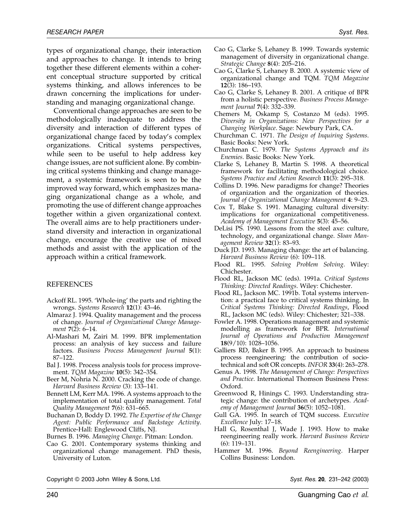types of organizational change, their interaction and approaches to change. It intends to bring together these different elements within a coherent conceptual structure supported by critical systems thinking, and allows inferences to be drawn concerning the implications for understanding and managing organizational change.

Conventional change approaches are seen to be methodologically inadequate to address the diversity and interaction of different types of organizational change faced by today's complex organizations. Critical systems perspectives, while seen to be useful to help address key change issues, are not sufficient alone. By combining critical systems thinking and change management, a systemic framework is seen to be the improved way forward, which emphasizes managing organizational change as a whole, and promoting the use of different change approaches together within a given organizational context. The overall aims are to help practitioners understand diversity and interaction in organizational change, encourage the creative use of mixed methods and assist with the application of the approach within a critical framework.

#### REFERENCES

- Ackoff RL. 1995. 'Whole-ing' the parts and righting the wrongs. *Systems Research* 12(1): 43–46.
- Almaraz J. 1994. Quality management and the process of change. *Journal of Organizational Change Management* 7(2): 6–14.
- Al-Mashari M, Zairi M. 1999. BPR implementation process: an analysis of key success and failure factors. *Business Process Management Journal* 5(1): 87–122.
- Bal J. 1998. Process analysis tools for process improvement. *TQM Magazine* 10(5): 342–354.
- Beer M, Nohria N. 2000. Cracking the code of change. *Harvard Business Review* (3): 133–141.
- Bennett LM, Kerr MA. 1996. A systems approach to the implementation of total quality management. *Total Quality Management* 7(6): 631–665.
- Buchanan D, Boddy D. 1992. *The Expertise of the Change Agent: Public Performance and Backstage Activity*. Prentice-Hall: Englewood Cliffs, NJ.
- Burnes B. 1996. *Managing Change*. Pitman: London.
- Cao G. 2001. Contemporary systems thinking and organizational change management. PhD thesis, University of Luton.
- Cao G, Clarke S, Lehaney B. 1999. Towards systemic management of diversity in organizational change. *Strategic Change* 8(4): 205–216.
- Cao G, Clarke S, Lehaney B. 2000. A systemic view of organizational change and TQM. *TQM Magazine* 12(3): 186–193.
- Cao G, Clarke S, Lehaney B. 2001. A critique of BPR from a holistic perspective. *Business Process Management Journal* 7(4): 332–339.
- Chemers M, Oskamp S, Costanzo M (eds). 1995. *Diversity in Organizations: New Perspectives for a Changing Workplace*. Sage: Newbury Park, CA.
- Churchman C. 1971. *The Design of Inquiring Systems*. Basic Books: New York.
- Churchman C. 1979. *The Systems Approach and its Enemies*. Basic Books: New York.
- Clarke S, Lehaney B, Martin S. 1998. A theoretical framework for facilitating methodological choice. *Systems Practice and Action Research* 11(3): 295–318.
- Collins D. 1996. New paradigms for change? Theories of organization and the organization of theories. *Journal of Organizational Change Management* 4: 9–23.
- Cox T, Blake S. 1991. Managing cultural diversity: implications for organizational competitiveness. *Academy of Management Executive* 5(3): 45–56.
- DeLisi PS. 1990. Lessons from the steel axe: culture, technology, and organizational change. *Sloan Management Review* 32(1): 83–93.
- Duck JD. 1993. Managing change: the art of balancing. *Harvard Business Review* (6): 109–118.
- Flood RL. 1995. *Solving Problem Solving*. Wiley: Chichester.
- Flood RL, Jackson MC (eds). 1991a. *Critical Systems Thinking: Directed Readings*. Wiley: Chichester.
- Flood RL, Jackson MC. 1991b. Total systems intervention: a practical face to critical systems thinking. In *Critical Systems Thinking: Directed Readings*, Flood RL, Jackson MC (eds). Wiley: Chichester; 321–338.
- Fowler A. 1998. Operations management and systemic modelling as framework for BPR. *International Journal of Operations and Production Management* 18(9/10): 1028–1056.
- Galliers RD, Baker B. 1995. An approach to business process reengineering: the contribution of sociotechnical and soft OR concepts. *INFOR* 33(4): 263–278.
- Genus A. 1998. *The Management of Change: Perspectives and Practice*. International Thomson Business Press: Oxford.
- Greenwood R, Hinings C. 1993. Understanding strategic change: the contribution of archetypes. *Academy of Management Journal* 36(5): 1052–1081.
- Gull GA. 1995. In search of TQM success. *Executive Excellence* July: 17–18.
- Hall G, Rosenthal J, Wade J. 1993. How to make reengineering really work. *Harvard Business Review* (6): 119–131.
- Hammer M. 1996. *Beyond Reengineering*. Harper Collins Business: London.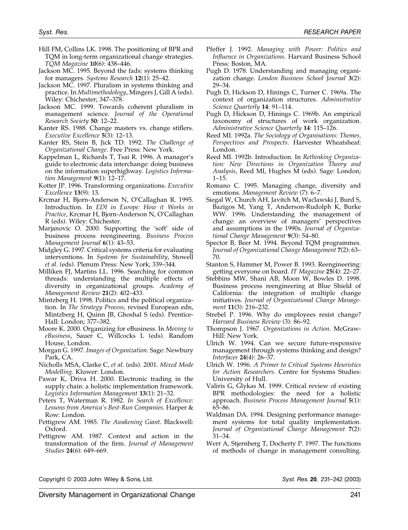- Hill FM, Collins LK. 1998. The positioning of BPR and TQM in long-term organizational change strategies. *TQM Magazine* 10(6): 438–446.
- Jackson MC. 1995. Beyond the fads: systems thinking for managers. *Systems Research* 12(1): 25–42.
- Jackson MC. 1997. Pluralism in systems thinking and practice. In *Multimethodology*, Mingers J, Gill A (eds). Wiley: Chichester; 347–378.
- Jackson MC. 1999. Towards coherent pluralism in management science. *Journal of the Operational Research Society* 50: 12–22.
- Kanter RS. 1988. Change masters vs. change stiflers. *Executive Excellence* 5(3): 12–13.
- Kanter RS, Stein B, Jick TD. 1992. *The Challenge of Organizational Change*. Free Press: New York.
- Kappelman L, Richards T, Tsai R. 1996. A manager's guide to electronic data interchange: doing business on the information superhighway. *Logistics Information Management* 9(1): 12–17.
- Kotter JP. 1996. Transforming organizations. *Executive Excellence* 13(9): 13.
- Krcmar H, Bjorn-Anderson N, O'Callaghan R. 1995. Introduction. In *EDI in Europe: How it Works in Practice*, Krcmar H, Bjorn-Anderson N, O'Callaghan R (eds). Wiley: Chichester.
- Marjanovic O. 2000. Supporting the 'soft' side of business process reengineering. *Business Process Management Journal* 6(1): 43–53.
- Midgley G. 1997. Critical systems criteria for evaluating interventions. In *Systems for Sustainability*, Stowell *et al.* (eds). Plenum Press: New York; 339–344.
- Milliken FJ, Martins LL. 1996. Searching for common threads: understanding the multiple effects of diversity in organizational groups. *Academy of Management Review* 21(2): 402–433.
- Mintzberg H. 1998. Politics and the political organization. In *The Strategy Process*, revised European edn, Mintzberg H, Quinn JB, Ghoshal S (eds). Prentice-Hall: London; 377–382.
- Moore K. 2000. Organizing for eBusiness. In *Moving to eBusiness*, Sauer C, Willcocks L (eds). Random House, London.
- Morgan G. 1997. *Images of Organization*. Sage: Newbury Park, CA.
- Nicholls MSA, Clarke C, *et al.* (eds). 2001. *Mixed Mode Modelling.* Kluwer: London.
- Pawar K, Driva H. 2000. Electronic trading in the supply chain: a holistic implementation framework. *Logistics Information Management* 13(1): 21–32.
- Peters T, Waterman R. 1982. *In Search of Excellence: Lessons from America's Best-Run Companies*. Harper & Row: London.
- Pettigrew AM. 1985. *The Awakening Giant*. Blackwell: Oxford.
- Pettigrew AM. 1987. Context and action in the transformation of the firm. *Journal of Management Studies* 24(6): 649–669.
- Pfeffer J. 1992. *Managing with Power: Politics and Influence in Organizations*. Harvard Business School Press: Boston, MA.
- Pugh D. 1978. Understanding and managing organization change. *London Business School Journal* 3(2): 29–34.
- Pugh D, Hickson D, Hinings C, Turner C. 1969a. The context of organization structures. *Administrative Science Quarterly* 14: 91–114.
- Pugh D, Hickson D, Hinings C. 1969b. An empirical taxonomy of structures of work organization. *Administrative Science Quarterly* 14: 115–126.
- Reed MI. 1992a. *The Sociology of Organisations: Themes, Perspectives and Prospects*. Harvester Wheatsheaf: London.
- Reed MI. 1992b. Introduction. In *Rethinking Organization: New Directions in Organization Theory and Analysis*, Reed MI, Hughes M (eds). Sage: London; 1–15.
- Romano C. 1995. Managing change, diversity and emotions. *Management Review* (7): 6–7.
- Siegal W, Church AH, Javitch M, Waclawski J, Burd S, Bazigos M, Yang T, Anderson-Rudolph K, Burke WW. 1996. Understanding the management of change: an overview of managers' perspectives and assumptions in the 1990s. *Journal of Organizational Change Management* 9(3): 54–80.
- Spector B, Beer M. 1994. Beyond TQM programmes. *Journal of Organizational Change Management* 7(2): 63– 70.
- Stanton S, Hammer M, Power B. 1993. Reengineering: getting everyone on board. *IT Magazine* 25(4): 22–27.
- Stebbins MW, Shani AB, Moon W, Bowles D. 1998. Business process reengineering at Blue Shield of California: the integration of multiple change initiatives. *Journal of Organizational Change Management* 11(3): 216–232.
- Strebel P. 1996. Why do employees resist change? *Harvard Business Review* (3): 86–92.
- Thompson J. 1967. *Organizations in Action*. McGraw-Hill: New York.
- Ulrich W. 1994. Can we secure future-responsive management through systems thinking and design? *Interfaces* 24(4): 26–37.
- Ulrich W. 1996. *A Primer to Critical Systems Heuristics for Action Researchers*. Centre for Systems Studies: University of Hull.
- Valiris G, Glykas M. 1999. Critical review of existing BPR methodologies: the need for a holistic approach. *Business Process Management Journal* 5(1): 65–86.
- Waldman DA. 1994. Designing performance management systems for total quality implementation. *Journal of Organizational Change Management* 7(2): 31–34.
- Werr A, Stjernberg T, Docherty P. 1997. The functions of methods of change in management consulting.